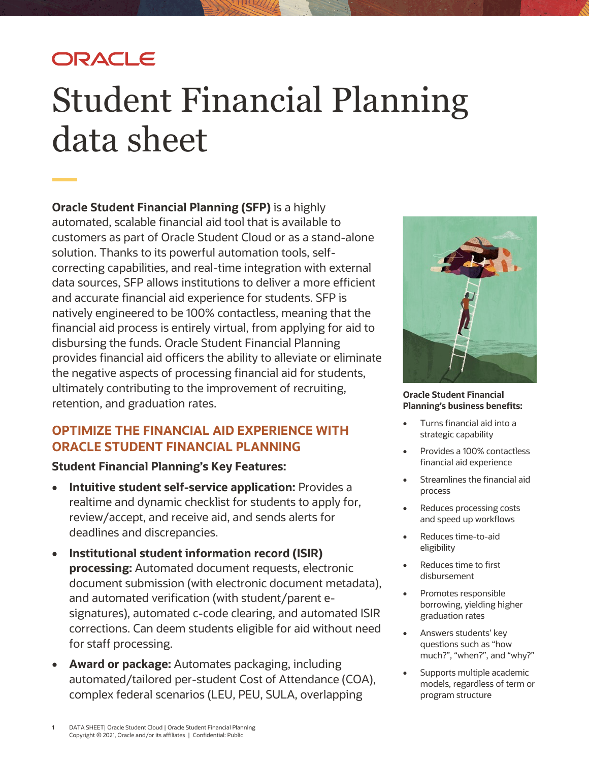## ORACLE

# Student Financial Planning data sheet

**Oracle Student Financial Planning (SFP)** is a highly automated, scalable financial aid tool that is available to customers as part of Oracle Student Cloud or as a stand-alone solution. Thanks to its powerful automation tools, selfcorrecting capabilities, and real-time integration with external data sources, SFP allows institutions to deliver a more efficient and accurate financial aid experience for students. SFP is natively engineered to be 100% contactless, meaning that the financial aid process is entirely virtual, from applying for aid to disbursing the funds. Oracle Student Financial Planning provides financial aid officers the ability to alleviate or eliminate the negative aspects of processing financial aid for students, ultimately contributing to the improvement of recruiting, retention, and graduation rates.

#### **OPTIMIZE THE FINANCIAL AID EXPERIENCE WITH ORACLE STUDENT FINANCIAL PLANNING**

#### **Student Financial Planning's Key Features:**

- **Intuitive student self-service application:** Provides a realtime and dynamic checklist for students to apply for, review/accept, and receive aid, and sends alerts for deadlines and discrepancies.
- **Institutional student information record (ISIR) processing:** Automated document requests, electronic document submission (with electronic document metadata), and automated verification (with student/parent esignatures), automated c-code clearing, and automated ISIR corrections. Can deem students eligible for aid without need for staff processing.
- **Award or package:** Automates packaging, including automated/tailored per-student Cost of Attendance (COA), complex federal scenarios (LEU, PEU, SULA, overlapping



**Oracle Student Financial Planning's business benefits:** 

- Turns financial aid into a strategic capability
- Provides a 100% contactless financial aid experience
- Streamlines the financial aid process
- Reduces processing costs and speed up workflows
- Reduces time-to-aid eligibility
- Reduces time to first disbursement
- Promotes responsible borrowing, yielding higher graduation rates
- Answers students' key questions such as "how much?", "when?", and "why?"
- Supports multiple academic models, regardless of term or program structure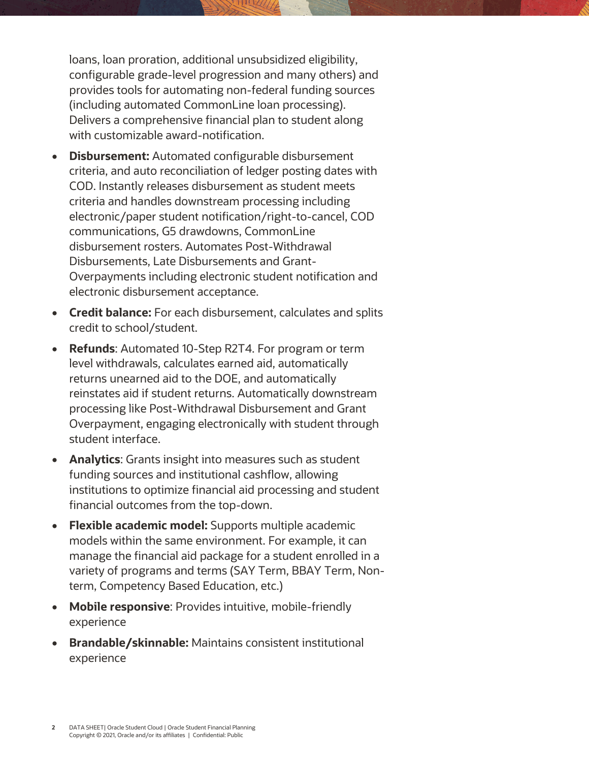loans, loan proration, additional unsubsidized eligibility, configurable grade-level progression and many others) and provides tools for automating non-federal funding sources (including automated CommonLine loan processing). Delivers a comprehensive financial plan to student along with customizable award-notification.

- **Disbursement:** Automated configurable disbursement criteria, and auto reconciliation of ledger posting dates with COD. Instantly releases disbursement as student meets criteria and handles downstream processing including electronic/paper student notification/right-to-cancel, COD communications, G5 drawdowns, CommonLine disbursement rosters. Automates Post-Withdrawal Disbursements, Late Disbursements and Grant-Overpayments including electronic student notification and electronic disbursement acceptance.
- **Credit balance:** For each disbursement, calculates and splits credit to school/student.
- **Refunds**: Automated 10-Step R2T4. For program or term level withdrawals, calculates earned aid, automatically returns unearned aid to the DOE, and automatically reinstates aid if student returns. Automatically downstream processing like Post-Withdrawal Disbursement and Grant Overpayment, engaging electronically with student through student interface.
- **Analytics**: Grants insight into measures such as student funding sources and institutional cashflow, allowing institutions to optimize financial aid processing and student financial outcomes from the top-down.
- **Flexible academic model:** Supports multiple academic models within the same environment. For example, it can manage the financial aid package for a student enrolled in a variety of programs and terms (SAY Term, BBAY Term, Nonterm, Competency Based Education, etc.)
- **Mobile responsive**: Provides intuitive, mobile-friendly experience
- **Brandable/skinnable:** Maintains consistent institutional experience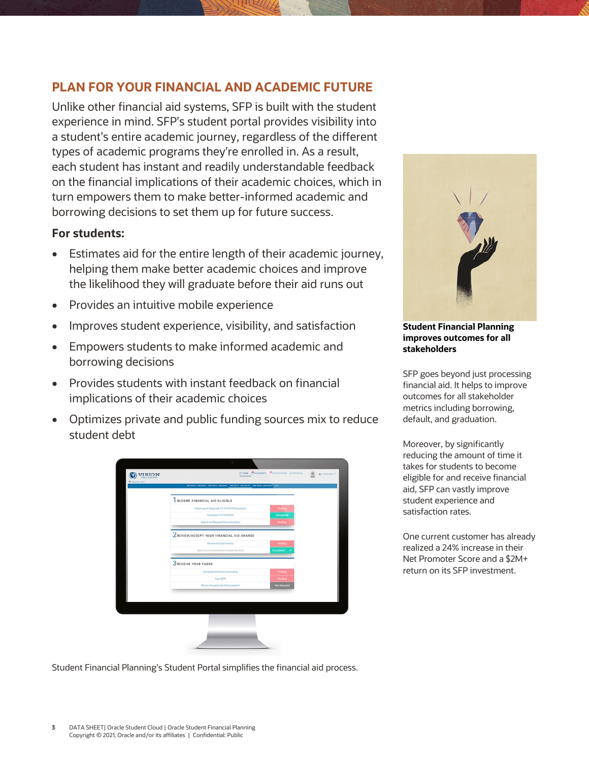#### **PLAN FOR YOUR FINANCIAL AND ACADEMIC FUTURE**

Unlike other financial aid systems, SFP is built with the student experience in mind. SFP's student portal provides visibility into a student's entire academic journey, regardless of the different types of academic programs they're enrolled in. As a result, each student has instant and readily understandable feedback on the financial implications of their academic choices, which in turn empowers them to make better-informed academic and borrowing decisions to set them up for future success.

#### **For students:**

- Estimates aid for the entire length of their academic journey, helping them make better academic choices and improve the likelihood they will graduate before their aid runs out
- Provides an intuitive mobile experience
- Improves student experience, visibility, and satisfaction
- Empowers students to make informed academic and borrowing decisions
- Provides students with instant feedback on financial implications of their academic choices
- Optimizes private and public funding sources mix to reduce student debt





#### **Student Financial Planning improves outcomes for all stakeholders**

SFP goes beyond just processing financial aid. It helps to improve outcomes for all stakeholder metrics including borrowing, default, and graduation.

Moreover, by significantly reducing the amount of time it takes for students to become eligible for and receive financial aid, SFP can vastly improve student experience and satisfaction rates.

One current customer has already realized a 24% increase in their Net Promoter Score and a \$2M+ return on its SFP investment.

Student Financial Planning's Student Portal simplifies the financial aid process.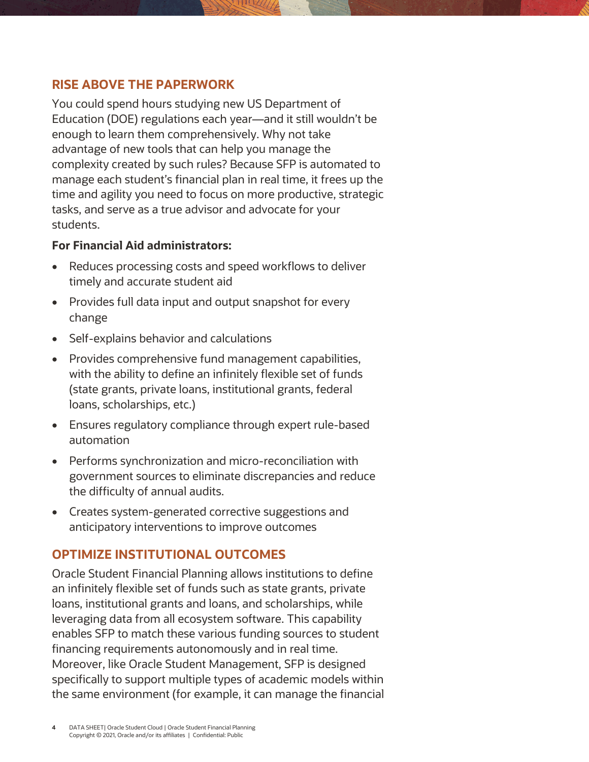#### **RISE ABOVE THE PAPERWORK**

You could spend hours studying new US Department of Education (DOE) regulations each year—and it still wouldn't be enough to learn them comprehensively. Why not take advantage of new tools that can help you manage the complexity created by such rules? Because SFP is automated to manage each student's financial plan in real time, it frees up the time and agility you need to focus on more productive, strategic tasks, and serve as a true advisor and advocate for your students.

#### **For Financial Aid administrators:**

- Reduces processing costs and speed workflows to deliver timely and accurate student aid
- Provides full data input and output snapshot for every change
- Self-explains behavior and calculations
- Provides comprehensive fund management capabilities, with the ability to define an infinitely flexible set of funds (state grants, private loans, institutional grants, federal loans, scholarships, etc.)
- Ensures regulatory compliance through expert rule-based automation
- Performs synchronization and micro-reconciliation with government sources to eliminate discrepancies and reduce the difficulty of annual audits.
- Creates system-generated corrective suggestions and anticipatory interventions to improve outcomes

#### **OPTIMIZE INSTITUTIONAL OUTCOMES**

Oracle Student Financial Planning allows institutions to define an infinitely flexible set of funds such as state grants, private loans, institutional grants and loans, and scholarships, while leveraging data from all ecosystem software. This capability enables SFP to match these various funding sources to student financing requirements autonomously and in real time. Moreover, like Oracle Student Management, SFP is designed specifically to support multiple types of academic models within the same environment (for example, it can manage the financial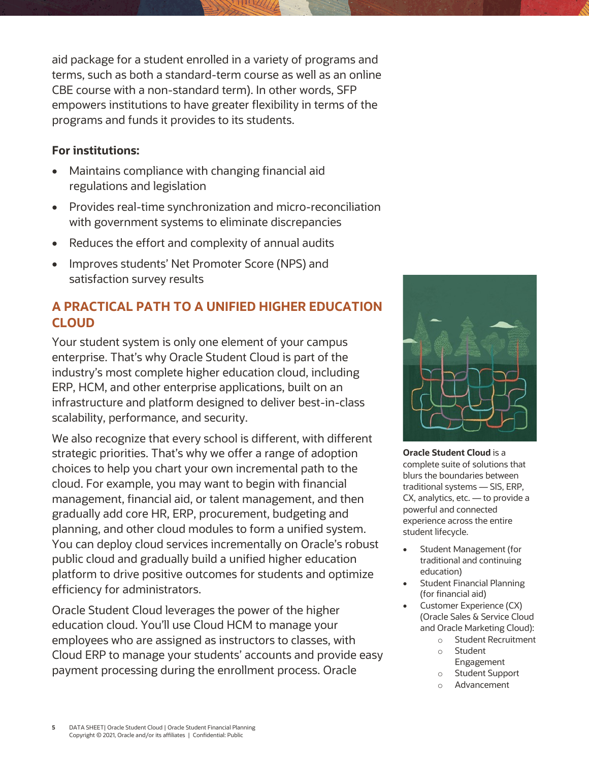aid package for a student enrolled in a variety of programs and terms, such as both a standard-term course as well as an online CBE course with a non-standard term). In other words, SFP empowers institutions to have greater flexibility in terms of the programs and funds it provides to its students.

#### **For institutions:**

- Maintains compliance with changing financial aid regulations and legislation
- Provides real-time synchronization and micro-reconciliation with government systems to eliminate discrepancies
- Reduces the effort and complexity of annual audits
- Improves students' Net Promoter Score (NPS) and satisfaction survey results

### **A PRACTICAL PATH TO A UNIFIED HIGHER EDUCATION CLOUD**

Your student system is only one element of your campus enterprise. That's why Oracle Student Cloud is part of the industry's most complete higher education cloud, including ERP, HCM, and other enterprise applications, built on an infrastructure and platform designed to deliver best-in-class scalability, performance, and security.

We also recognize that every school is different, with different strategic priorities. That's why we offer a range of adoption choices to help you chart your own incremental path to the cloud. For example, you may want to begin with financial management, financial aid, or talent management, and then gradually add core HR, ERP, procurement, budgeting and planning, and other cloud modules to form a unified system. You can deploy cloud services incrementally on Oracle's robust public cloud and gradually build a unified higher education platform to drive positive outcomes for students and optimize efficiency for administrators.

Oracle Student Cloud leverages the power of the higher education cloud. You'll use Cloud HCM to manage your employees who are assigned as instructors to classes, with Cloud ERP to manage your students' accounts and provide easy payment processing during the enrollment process. Oracle



**Oracle Student Cloud** is a complete suite of solutions that blurs the boundaries between traditional systems — SIS, ERP, CX, analytics, etc. — to provide a powerful and connected experience across the entire student lifecycle.

- Student Management (for traditional and continuing education)
- **Student Financial Planning** (for financial aid)
- Customer Experience (CX) (Oracle Sales & Service Cloud and Oracle Marketing Cloud):
	- o Student Recruitment
	- o Student Engagement
	- o Student Support
	- o Advancement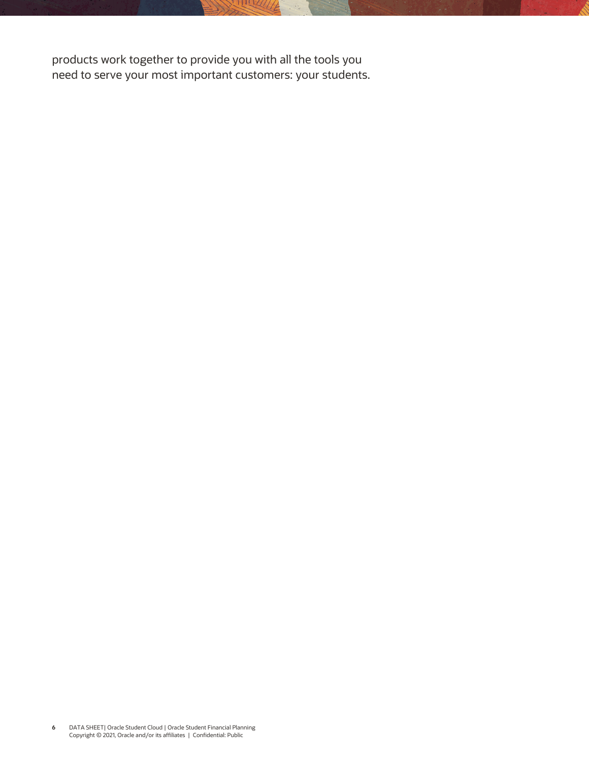products work together to provide you with all the tools you need to serve your most important customers: your students.